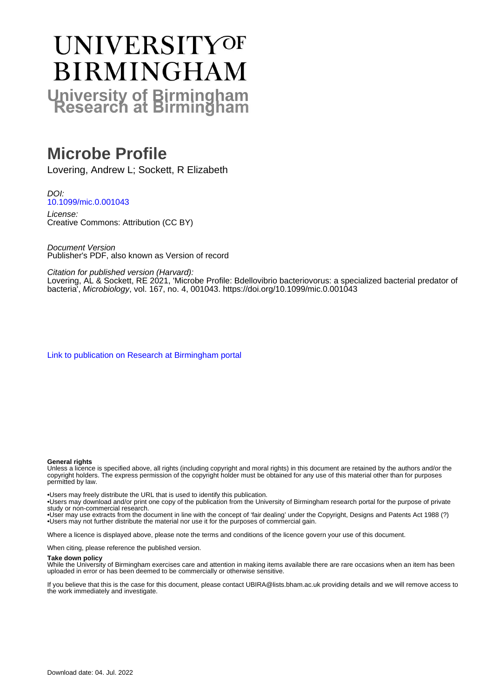# **UNIVERSITYOF BIRMINGHAM University of Birmingham**

# **Microbe Profile**

Lovering, Andrew L; Sockett, R Elizabeth

DOI: [10.1099/mic.0.001043](https://doi.org/10.1099/mic.0.001043)

License: Creative Commons: Attribution (CC BY)

Document Version Publisher's PDF, also known as Version of record

Citation for published version (Harvard):

Lovering, AL & Sockett, RE 2021, 'Microbe Profile: Bdellovibrio bacteriovorus: a specialized bacterial predator of bacteria', Microbiology, vol. 167, no. 4, 001043.<https://doi.org/10.1099/mic.0.001043>

[Link to publication on Research at Birmingham portal](https://birmingham.elsevierpure.com/en/publications/f4aa71ef-875a-40b8-8aba-ca8a72a20678)

#### **General rights**

Unless a licence is specified above, all rights (including copyright and moral rights) in this document are retained by the authors and/or the copyright holders. The express permission of the copyright holder must be obtained for any use of this material other than for purposes permitted by law.

• Users may freely distribute the URL that is used to identify this publication.

• Users may download and/or print one copy of the publication from the University of Birmingham research portal for the purpose of private study or non-commercial research.

• User may use extracts from the document in line with the concept of 'fair dealing' under the Copyright, Designs and Patents Act 1988 (?) • Users may not further distribute the material nor use it for the purposes of commercial gain.

Where a licence is displayed above, please note the terms and conditions of the licence govern your use of this document.

When citing, please reference the published version.

#### **Take down policy**

While the University of Birmingham exercises care and attention in making items available there are rare occasions when an item has been uploaded in error or has been deemed to be commercially or otherwise sensitive.

If you believe that this is the case for this document, please contact UBIRA@lists.bham.ac.uk providing details and we will remove access to the work immediately and investigate.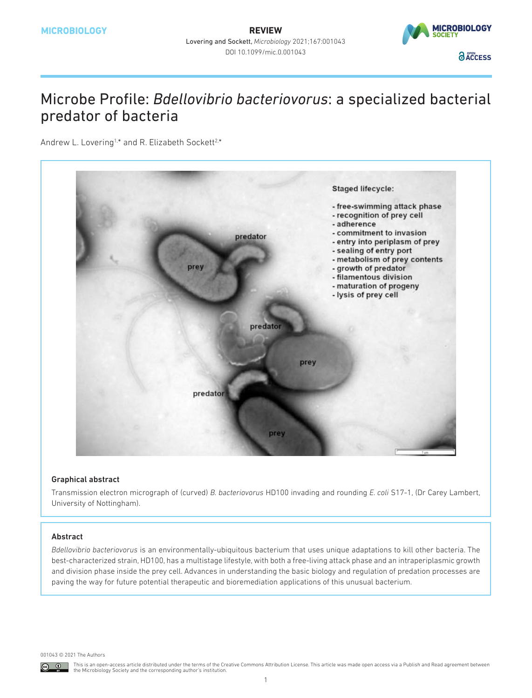

## Microbe Profile: *Bdellovibrio bacteriovorus*: a specialized bacterial predator of bacteria

Andrew L. Lovering<sup>1,\*</sup> and R. Elizabeth Sockett<sup>2,\*</sup>



### Graphical abstract

Transmission electron micrograph of (curved) *B. bacteriovorus* HD100 invading and rounding *E. coli* S17-1, (Dr Carey Lambert, University of Nottingham).

### Abstract

*Bdellovibrio bacteriovorus* is an environmentally-ubiquitous bacterium that uses unique adaptations to kill other bacteria. The best-characterized strain, HD100, has a multistage lifestyle, with both a free-living attack phase and an intraperiplasmic growth and division phase inside the prey cell. Advances in understanding the basic biology and regulation of predation processes are paving the way for future potential therapeutic and bioremediation applications of this unusual bacterium.

001043 © 2021 The Authors

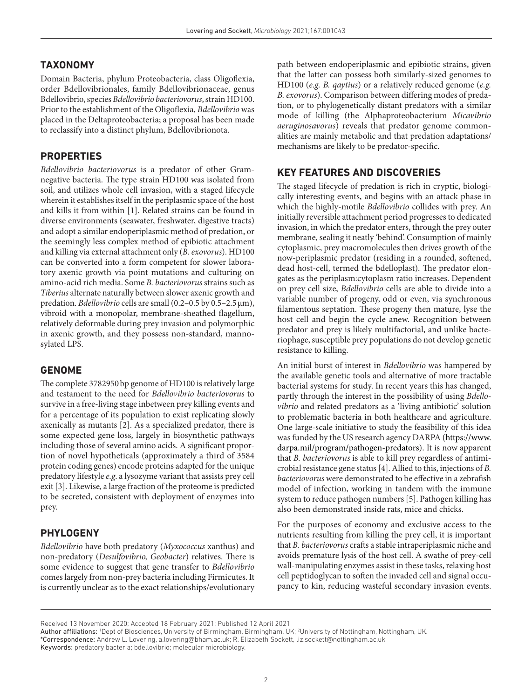## **TAXONOMY**

Domain Bacteria, phylum Proteobacteria, class Oligoflexia, order Bdellovibrionales, family Bdellovibrionaceae, genus Bdellovibrio, species *Bdellovibrio bacteriovorus*, strain HD100. Prior to the establishment of the Oligoflexia, *Bdellovibrio* was placed in the Deltaproteobacteria; a proposal has been made to reclassify into a distinct phylum, Bdellovibrionota.

## **PROPERTIES**

*Bdellovibrio bacteriovorus* is a predator of other Gramnegative bacteria. The type strain HD100 was isolated from soil, and utilizes whole cell invasion, with a staged lifecycle wherein it establishes itself in the periplasmic space of the host and kills it from within [[1\]](#page-3-0). Related strains can be found in diverse environments (seawater, freshwater, digestive tracts) and adopt a similar endoperiplasmic method of predation, or the seemingly less complex method of epibiotic attachment and killing via external attachment only (*B. exovorus*). HD100 can be converted into a form competent for slower laboratory axenic growth via point mutations and culturing on amino-acid rich media. Some *B. bacteriovorus* strains such as *Tiberius* alternate naturally between slower axenic growth and predation. *Bdellovibrio* cells are small (0.2–0.5 by 0.5–2.5μm), vibroid with a monopolar, membrane-sheathed flagellum, relatively deformable during prey invasion and polymorphic in axenic growth, and they possess non-standard, mannosylated LPS.

## **GENOME**

The complete 3782950bp genome of HD100 is relatively large and testament to the need for *Bdellovibrio bacteriovorus* to survive in a free-living stage inbetween prey killing events and for a percentage of its population to exist replicating slowly axenically as mutants [\[2](#page-3-1)]. As a specialized predator, there is some expected gene loss, largely in biosynthetic pathways including those of several amino acids. A significant proportion of novel hypotheticals (approximately a third of 3584 protein coding genes) encode proteins adapted for the unique predatory lifestyle *e.g*. a lysozyme variant that assists prey cell exit [[3\]](#page-3-2). Likewise, a large fraction of the proteome is predicted to be secreted, consistent with deployment of enzymes into prey.

## **PHYLOGENY**

*Bdellovibrio* have both predatory (*Myxococcus* xanthus) and non-predatory (*Desulfovibrio, Geobacter*) relatives. There is some evidence to suggest that gene transfer to *Bdellovibrio* comes largely from non-prey bacteria including Firmicutes. It is currently unclear as to the exact relationships/evolutionary

path between endoperiplasmic and epibiotic strains, given that the latter can possess both similarly-sized genomes to HD100 (*e.g. B. qaytius*) or a relatively reduced genome (*e.g. B. exovorus*). Comparison between differing modes of predation, or to phylogenetically distant predators with a similar mode of killing (the Alphaproteobacterium *Micavibrio aeruginosavorus*) reveals that predator genome commonalities are mainly metabolic and that predation adaptations/ mechanisms are likely to be predator-specific.

## **KEY FEATURES AND DISCOVERIES**

The staged lifecycle of predation is rich in cryptic, biologically interesting events, and begins with an attack phase in which the highly-motile *Bdellovibrio* collides with prey. An initially reversible attachment period progresses to dedicated invasion, in which the predator enters, through the prey outer membrane, sealing it neatly 'behind'. Consumption of mainly cytoplasmic, prey macromolecules then drives growth of the now-periplasmic predator (residing in a rounded, softened, dead host-cell, termed the bdelloplast). The predator elongates as the periplasm:cytoplasm ratio increases. Dependent on prey cell size, *Bdellovibrio* cells are able to divide into a variable number of progeny, odd or even, via synchronous filamentous septation. These progeny then mature, lyse the host cell and begin the cycle anew. Recognition between predator and prey is likely multifactorial, and unlike bacteriophage, susceptible prey populations do not develop genetic resistance to killing.

An initial burst of interest in *Bdellovibrio* was hampered by the available genetic tools and alternative of more tractable bacterial systems for study. In recent years this has changed, partly through the interest in the possibility of using *Bdellovibrio* and related predators as a 'living antibiotic' solution to problematic bacteria in both healthcare and agriculture. One large-scale initiative to study the feasibility of this idea was funded by the US research agency DARPA ([https://www.](https://www.darpa.mil/program/pathogen-predators) [darpa.mil/program/pathogen-predators](https://www.darpa.mil/program/pathogen-predators)). It is now apparent that *B. bacteriovorus* is able to kill prey regardless of antimicrobial resistance gene status [[4](#page-3-3)]. Allied to this, injections of *B. bacteriovorus* were demonstrated to be effective in a zebrafish model of infection, working in tandem with the immune system to reduce pathogen numbers [[5](#page-3-4)]. Pathogen killing has also been demonstrated inside rats, mice and chicks.

For the purposes of economy and exclusive access to the nutrients resulting from killing the prey cell, it is important that *B. bacteriovorus* crafts a stable intraperiplasmic niche and avoids premature lysis of the host cell. A swathe of prey-cell wall-manipulating enzymes assist in these tasks, relaxing host cell peptidoglycan to soften the invaded cell and signal occupancy to kin, reducing wasteful secondary invasion events.

Keywords: predatory bacteria; bdellovibrio; molecular microbiology.

Received 13 November 2020; Accepted 18 February 2021; Published 12 April 2021

Author affiliations: <sup>1</sup>Dept of Biosciences, University of Birmingham, Birmingham, UK; <sup>2</sup>University of Nottingham, Nottingham, UK. \*Correspondence: Andrew L. Lovering, a.lovering@bham.ac.uk; R. Elizabeth Sockett, liz.sockett@nottingham.ac.uk